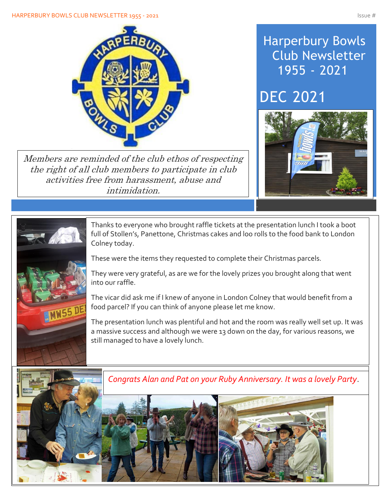#### HARPERBURY BOWLS CLUB NEWSLETTER 1955 - 2021 ISSUE # 1978 1989 ISSUE # 1989 ISSUE # 1989 ISSUE # 1989 ISSUE # 1



Members are reminded of the club ethos of respecting the right of all club members to participate in club activities free from harassment, abuse and intimidation.

## Harperbury Bowls Club Newsletter 1955 - 2021

## DEC 2021





ļ

Thanks to everyone who brought raffle tickets at the presentation lunch I took a boot full of Stollen's, Panettone, Christmas cakes and loo rolls to the food bank to London Colney today.

These were the items they requested to complete their Christmas parcels.

They were very grateful, as are we for the lovely prizes you brought along that went into our raffle.

The vicar did ask me if I knew of anyone in London Colney that would benefit from a food parcel? If you can think of anyone please let me know.

The presentation lunch was plentiful and hot and the room was really well set up. It was a massive success and although we were 13 down on the day, for various reasons, we still managed to have a lovely lunch.

The consensus amongst members is to make enquiries re next year so we are doing just Congrats Alan and Pat on your Ruby Anniversary. It was a lovely Party.

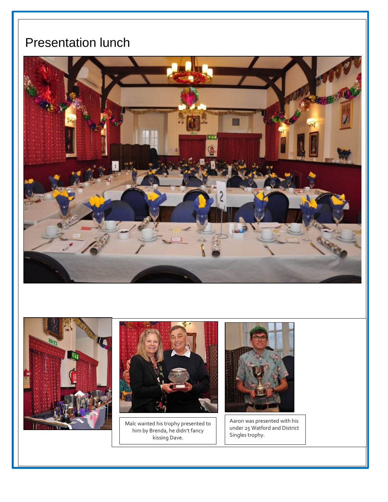## Presentation lunch

Í

I

I

I

I

I

I

I

I







Malc wanted his trophy presented to him by Brenda, he didn't fancy kissing Dave.



Aaron was presented with his under 25 Watford and District Singles trophy.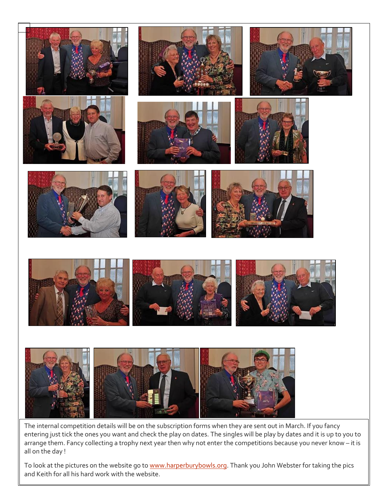

The internal competition details will be on the subscription forms when they are sent out in March. If you fancy entering just tick the ones you want and check the play on dates. The singles will be play by dates and it is up to you to arrange them. Fancy collecting a trophy next year then why not enter the competitions because you never know – it is all on the day !

To look at the pictures on the website go t[o www.harperburybowls.org.](http://www.harperburybowls.org/) Thank you John Webster for taking the pics and Keith for all his hard work with the website.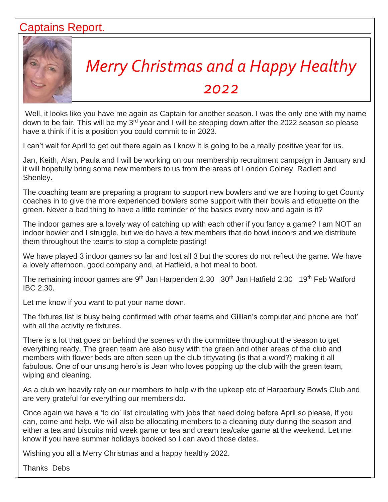#### Captains Report.



# *Merry Christmas and a Happy Healthy*

#### *2022*

Well, it looks like you have me again as Captain for another season. I was the only one with my name down to be fair. This will be my 3<sup>rd</sup> year and I will be stepping down after the 2022 season so please have a think if it is a position you could commit to in 2023.

I can't wait for April to get out there again as I know it is going to be a really positive year for us.

Jan, Keith, Alan, Paula and I will be working on our membership recruitment campaign in January and it will hopefully bring some new members to us from the areas of London Colney, Radlett and Shenley.

The coaching team are preparing a program to support new bowlers and we are hoping to get County coaches in to give the more experienced bowlers some support with their bowls and etiquette on the green. Never a bad thing to have a little reminder of the basics every now and again is it?

The indoor games are a lovely way of catching up with each other if you fancy a game? I am NOT an indoor bowler and I struggle, but we do have a few members that do bowl indoors and we distribute them throughout the teams to stop a complete pasting!

We have played 3 indoor games so far and lost all 3 but the scores do not reflect the game. We have a lovely afternoon, good company and, at Hatfield, a hot meal to boot.

The remaining indoor games are 9<sup>th</sup> Jan Harpenden 2.30 30<sup>th</sup> Jan Hatfield 2.30 19<sup>th</sup> Feb Watford IBC 2.30.

Let me know if you want to put your name down.

The fixtures list is busy being confirmed with other teams and Gillian's computer and phone are 'hot' with all the activity re fixtures.

There is a lot that goes on behind the scenes with the committee throughout the season to get everything ready. The green team are also busy with the green and other areas of the club and members with flower beds are often seen up the club tittyvating (is that a word?) making it all fabulous. One of our unsung hero's is Jean who loves popping up the club with the green team, wiping and cleaning.

As a club we heavily rely on our members to help with the upkeep etc of Harperbury Bowls Club and are very grateful for everything our members do.

Once again we have a 'to do' list circulating with jobs that need doing before April so please, if you can, come and help. We will also be allocating members to a cleaning duty during the season and either a tea and biscuits mid week game or tea and cream tea/cake game at the weekend. Let me know if you have summer holidays booked so I can avoid those dates.

Wishing you all a Merry Christmas and a happy healthy 2022.

Thanks Debs